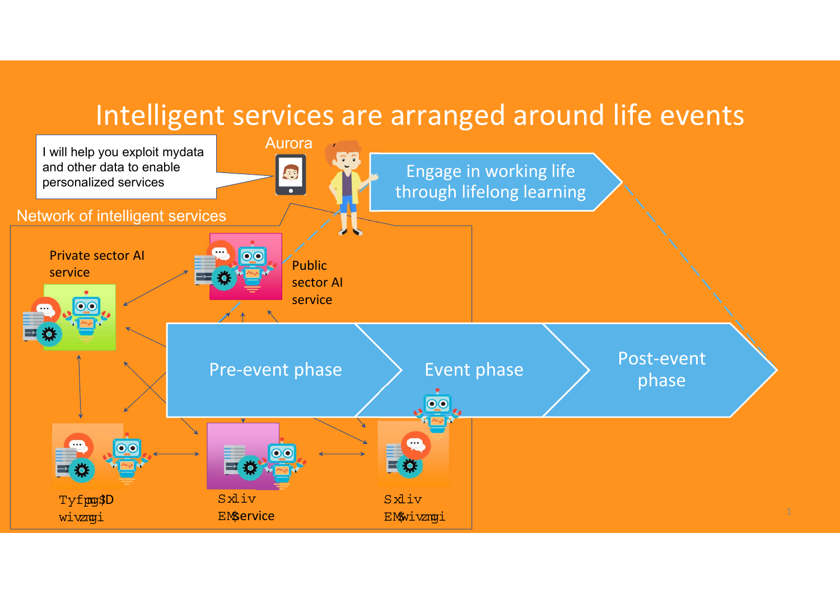## Intelligent services are arranged around life events